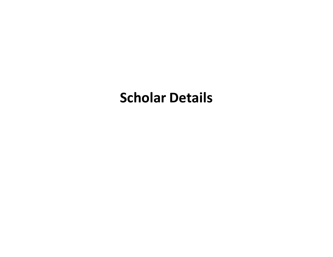## **Scholar Details**